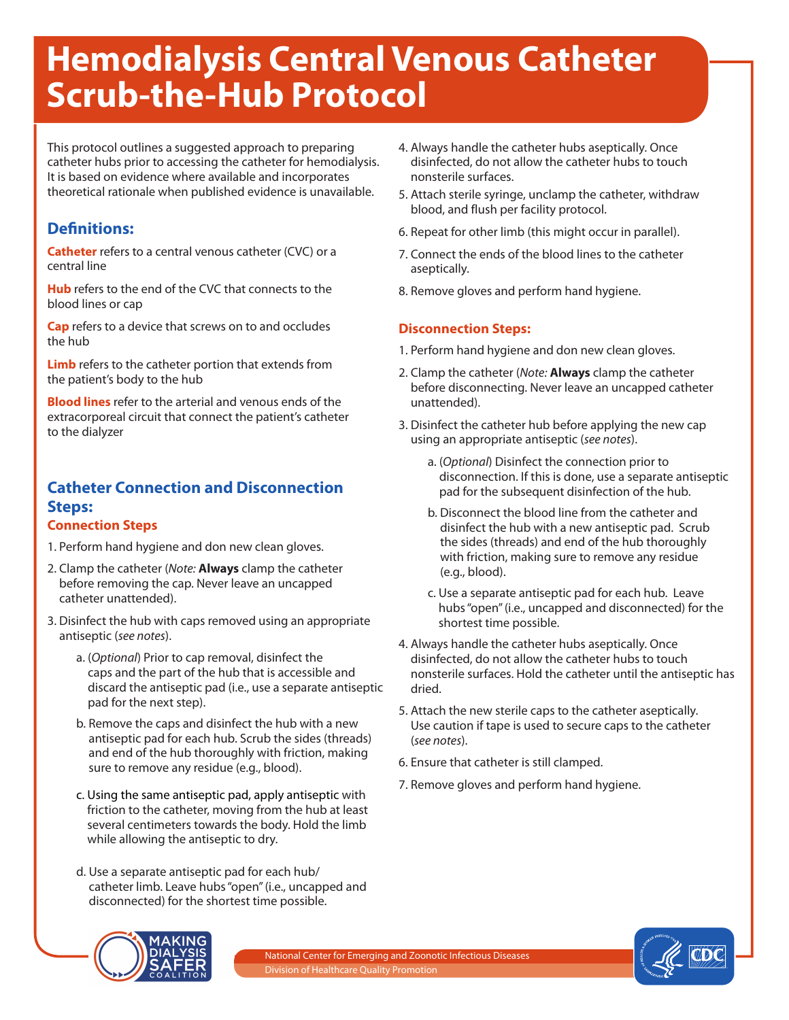# **Hemodialysis Central Venous Catheter Scrub-the-Hub Protocol**

This protocol outlines a suggested approach to preparing catheter hubs prior to accessing the catheter for hemodialysis. It is based on evidence where available and incorporates theoretical rationale when published evidence is unavailable.

## **Definitions:**

**Catheter** refers to a central venous catheter (CVC) or a central line

**Hub** refers to the end of the CVC that connects to the blood lines or cap

**Cap** refers to a device that screws on to and occludes the hub

**Limb** refers to the catheter portion that extends from the patient's body to the hub

**Blood lines** refer to the arterial and venous ends of the extracorporeal circuit that connect the patient's catheter to the dialyzer

# **Catheter Connection and Disconnection Steps:**

#### **Connection Steps**

- 1. Perform hand hygiene and don new clean gloves.
- 2. Clamp the catheter (*Note:* **Always** clamp the catheter before removing the cap. Never leave an uncapped catheter unattended).
- 3. Disinfect the hub with caps removed using an appropriate antiseptic (*see notes*).
	- a. (*Optional*) Prior to cap removal, disinfect the caps and the part of the hub that is accessible and discard the antiseptic pad (i.e., use a separate antiseptic pad for the next step).
	- b. Remove the caps and disinfect the hub with a new antiseptic pad for each hub. Scrub the sides (threads) and end of the hub thoroughly with friction, making sure to remove any residue (e.g., blood).
	- c. Using the same antiseptic pad, apply antiseptic with friction to the catheter, moving from the hub at least several centimeters towards the body. Hold the limb while allowing the antiseptic to dry.
	- d. Use a separate antiseptic pad for each hub/ catheter limb. Leave hubs "open" (i.e., uncapped and disconnected) for the shortest time possible.
- 4. Always handle the catheter hubs aseptically. Once disinfected, do not allow the catheter hubs to touch nonsterile surfaces.
- 5. Attach sterile syringe, unclamp the catheter, withdraw blood, and flush per facility protocol.
- 6. Repeat for other limb (this might occur in parallel).
- 7. Connect the ends of the blood lines to the catheter aseptically.
- 8. Remove gloves and perform hand hygiene.

#### **Disconnection Steps:**

- 1. Perform hand hygiene and don new clean gloves.
- 2. Clamp the catheter (*Note:* **Always** clamp the catheter before disconnecting. Never leave an uncapped catheter unattended).
- 3. Disinfect the catheter hub before applying the new cap using an appropriate antiseptic (*see notes*).
	- a. (*Optional*) Disinfect the connection prior to disconnection. If this is done, use a separate antiseptic pad for the subsequent disinfection of the hub.
	- b. Disconnect the blood line from the catheter and disinfect the hub with a new antiseptic pad. Scrub the sides (threads) and end of the hub thoroughly with friction, making sure to remove any residue (e.g., blood).
	- c. Use a separate antiseptic pad for each hub. Leave hubs "open" (i.e., uncapped and disconnected) for the shortest time possible.
- 4. Always handle the catheter hubs aseptically. Once disinfected, do not allow the catheter hubs to touch nonsterile surfaces. Hold the catheter until the antiseptic has dried.
- 5. Attach the new sterile caps to the catheter aseptically. Use caution if tape is used to secure caps to the catheter (*see notes*).
- 6. Ensure that catheter is still clamped.
- 7. Remove gloves and perform hand hygiene.